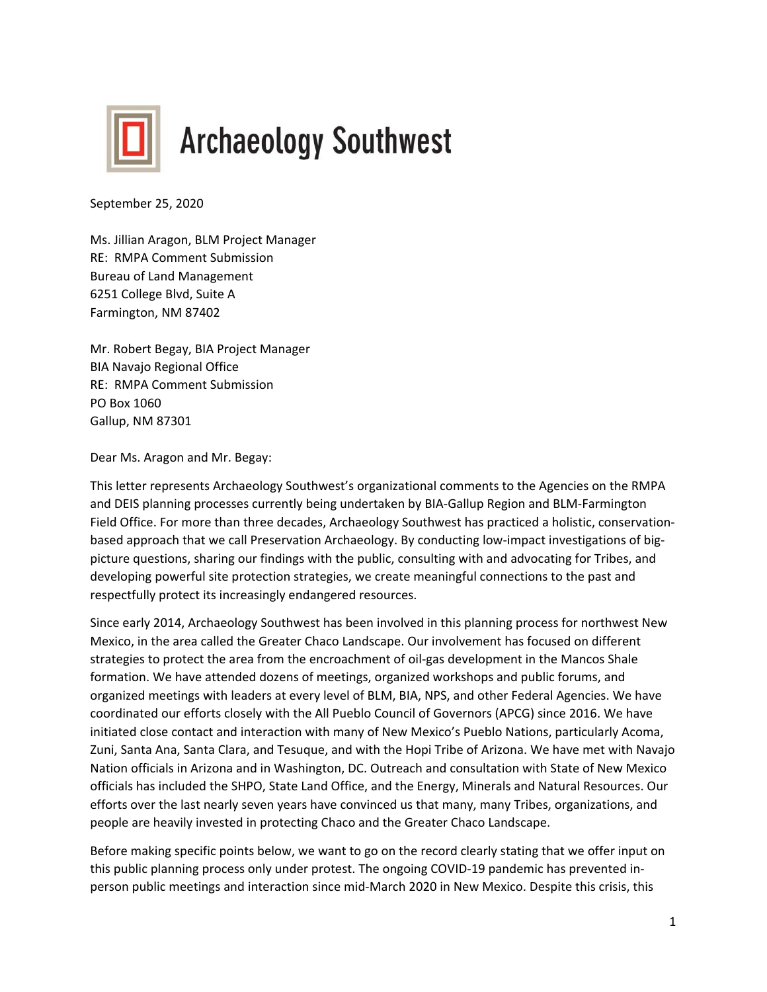

September 25, 2020

Ms. Jillian Aragon, BLM Project Manager RE: RMPA Comment Submission Bureau of Land Management 6251 College Blvd, Suite A Farmington, NM 87402

Mr. Robert Begay, BIA Project Manager BIA Navajo Regional Office RE: RMPA Comment Submission PO Box 1060 Gallup, NM 87301

Dear Ms. Aragon and Mr. Begay:

This letter represents Archaeology Southwest's organizational comments to the Agencies on the RMPA and DEIS planning processes currently being undertaken by BIA-Gallup Region and BLM-Farmington Field Office. For more than three decades, Archaeology Southwest has practiced a holistic, conservationbased approach that we call Preservation Archaeology. By conducting low-impact investigations of bigpicture questions, sharing our findings with the public, consulting with and advocating for Tribes, and developing powerful site protection strategies, we create meaningful connections to the past and respectfully protect its increasingly endangered resources.

Since early 2014, Archaeology Southwest has been involved in this planning process for northwest New Mexico, in the area called the Greater Chaco Landscape. Our involvement has focused on different strategies to protect the area from the encroachment of oil-gas development in the Mancos Shale formation. We have attended dozens of meetings, organized workshops and public forums, and organized meetings with leaders at every level of BLM, BIA, NPS, and other Federal Agencies. We have coordinated our efforts closely with the All Pueblo Council of Governors (APCG) since 2016. We have initiated close contact and interaction with many of New Mexico's Pueblo Nations, particularly Acoma, Zuni, Santa Ana, Santa Clara, and Tesuque, and with the Hopi Tribe of Arizona. We have met with Navajo Nation officials in Arizona and in Washington, DC. Outreach and consultation with State of New Mexico officials has included the SHPO, State Land Office, and the Energy, Minerals and Natural Resources. Our efforts over the last nearly seven years have convinced us that many, many Tribes, organizations, and people are heavily invested in protecting Chaco and the Greater Chaco Landscape.

Before making specific points below, we want to go on the record clearly stating that we offer input on this public planning process only under protest. The ongoing COVID-19 pandemic has prevented inperson public meetings and interaction since mid-March 2020 in New Mexico. Despite this crisis, this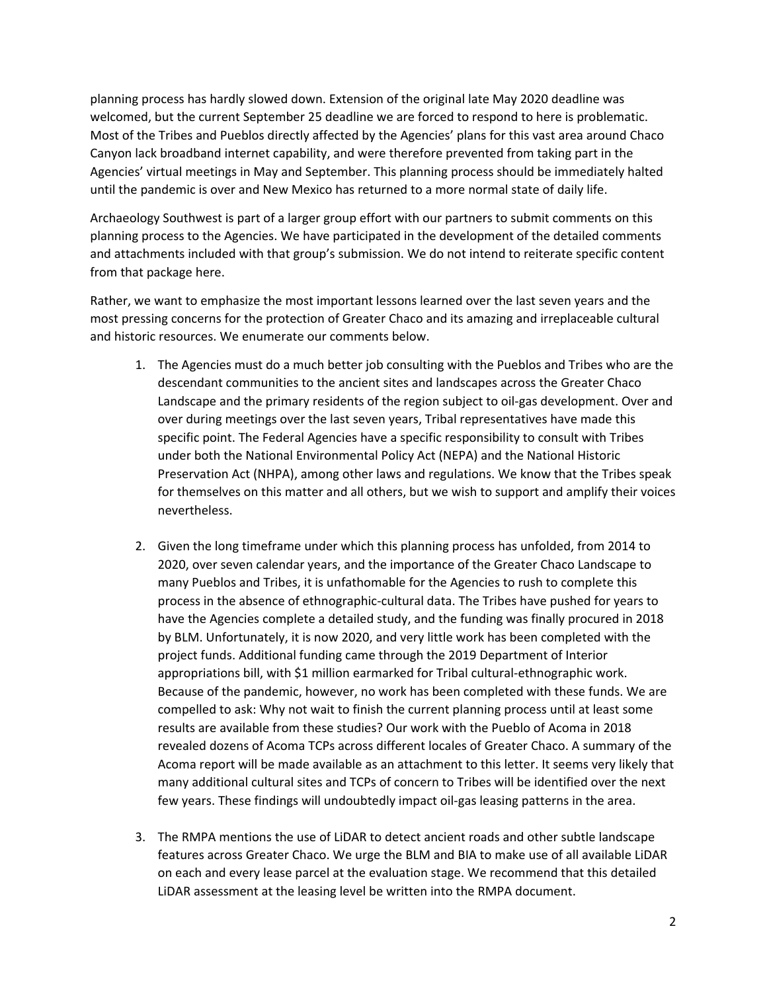planning process has hardly slowed down. Extension of the original late May 2020 deadline was welcomed, but the current September 25 deadline we are forced to respond to here is problematic. Most of the Tribes and Pueblos directly affected by the Agencies' plans for this vast area around Chaco Canyon lack broadband internet capability, and were therefore prevented from taking part in the Agencies' virtual meetings in May and September. This planning process should be immediately halted until the pandemic is over and New Mexico has returned to a more normal state of daily life.

Archaeology Southwest is part of a larger group effort with our partners to submit comments on this planning process to the Agencies. We have participated in the development of the detailed comments and attachments included with that group's submission. We do not intend to reiterate specific content from that package here.

Rather, we want to emphasize the most important lessons learned over the last seven years and the most pressing concerns for the protection of Greater Chaco and its amazing and irreplaceable cultural and historic resources. We enumerate our comments below.

- 1. The Agencies must do a much better job consulting with the Pueblos and Tribes who are the descendant communities to the ancient sites and landscapes across the Greater Chaco Landscape and the primary residents of the region subject to oil-gas development. Over and over during meetings over the last seven years, Tribal representatives have made this specific point. The Federal Agencies have a specific responsibility to consult with Tribes under both the National Environmental Policy Act (NEPA) and the National Historic Preservation Act (NHPA), among other laws and regulations. We know that the Tribes speak for themselves on this matter and all others, but we wish to support and amplify their voices nevertheless.
- 2. Given the long timeframe under which this planning process has unfolded, from 2014 to 2020, over seven calendar years, and the importance of the Greater Chaco Landscape to many Pueblos and Tribes, it is unfathomable for the Agencies to rush to complete this process in the absence of ethnographic-cultural data. The Tribes have pushed for years to have the Agencies complete a detailed study, and the funding was finally procured in 2018 by BLM. Unfortunately, it is now 2020, and very little work has been completed with the project funds. Additional funding came through the 2019 Department of Interior appropriations bill, with \$1 million earmarked for Tribal cultural-ethnographic work. Because of the pandemic, however, no work has been completed with these funds. We are compelled to ask: Why not wait to finish the current planning process until at least some results are available from these studies? Our work with the Pueblo of Acoma in 2018 revealed dozens of Acoma TCPs across different locales of Greater Chaco. A summary of the Acoma report will be made available as an attachment to this letter. It seems very likely that many additional cultural sites and TCPs of concern to Tribes will be identified over the next few years. These findings will undoubtedly impact oil-gas leasing patterns in the area.
- 3. The RMPA mentions the use of LiDAR to detect ancient roads and other subtle landscape features across Greater Chaco. We urge the BLM and BIA to make use of all available LiDAR on each and every lease parcel at the evaluation stage. We recommend that this detailed LiDAR assessment at the leasing level be written into the RMPA document.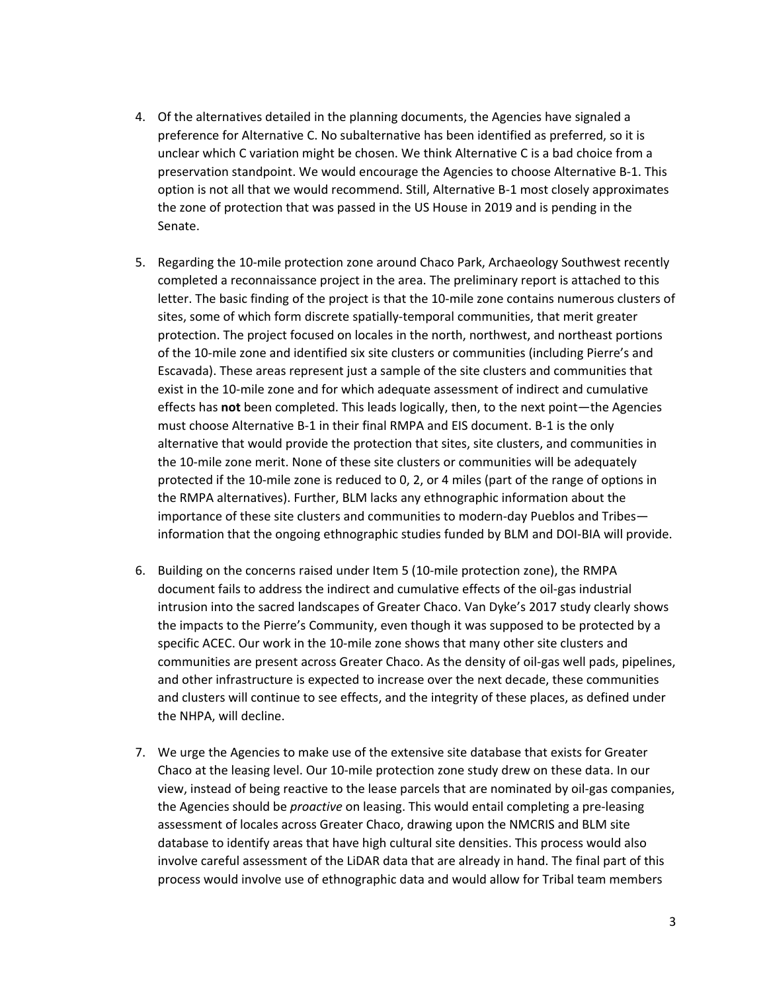- 4. Of the alternatives detailed in the planning documents, the Agencies have signaled a preference for Alternative C. No subalternative has been identified as preferred, so it is unclear which C variation might be chosen. We think Alternative C is a bad choice from a preservation standpoint. We would encourage the Agencies to choose Alternative B-1. This option is not all that we would recommend. Still, Alternative B-1 most closely approximates the zone of protection that was passed in the US House in 2019 and is pending in the Senate.
- 5. Regarding the 10-mile protection zone around Chaco Park, Archaeology Southwest recently completed a reconnaissance project in the area. The preliminary report is attached to this letter. The basic finding of the project is that the 10-mile zone contains numerous clusters of sites, some of which form discrete spatially-temporal communities, that merit greater protection. The project focused on locales in the north, northwest, and northeast portions of the 10-mile zone and identified six site clusters or communities (including Pierre's and Escavada). These areas represent just a sample of the site clusters and communities that exist in the 10-mile zone and for which adequate assessment of indirect and cumulative effects has **not** been completed. This leads logically, then, to the next point—the Agencies must choose Alternative B-1 in their final RMPA and EIS document. B-1 is the only alternative that would provide the protection that sites, site clusters, and communities in the 10-mile zone merit. None of these site clusters or communities will be adequately protected if the 10-mile zone is reduced to 0, 2, or 4 miles (part of the range of options in the RMPA alternatives). Further, BLM lacks any ethnographic information about the importance of these site clusters and communities to modern-day Pueblos and Tribes information that the ongoing ethnographic studies funded by BLM and DOI-BIA will provide.
- 6. Building on the concerns raised under Item 5 (10-mile protection zone), the RMPA document fails to address the indirect and cumulative effects of the oil-gas industrial intrusion into the sacred landscapes of Greater Chaco. Van Dyke's 2017 study clearly shows the impacts to the Pierre's Community, even though it was supposed to be protected by a specific ACEC. Our work in the 10-mile zone shows that many other site clusters and communities are present across Greater Chaco. As the density of oil-gas well pads, pipelines, and other infrastructure is expected to increase over the next decade, these communities and clusters will continue to see effects, and the integrity of these places, as defined under the NHPA, will decline.
- 7. We urge the Agencies to make use of the extensive site database that exists for Greater Chaco at the leasing level. Our 10-mile protection zone study drew on these data. In our view, instead of being reactive to the lease parcels that are nominated by oil-gas companies, the Agencies should be *proactive* on leasing. This would entail completing a pre-leasing assessment of locales across Greater Chaco, drawing upon the NMCRIS and BLM site database to identify areas that have high cultural site densities. This process would also involve careful assessment of the LiDAR data that are already in hand. The final part of this process would involve use of ethnographic data and would allow for Tribal team members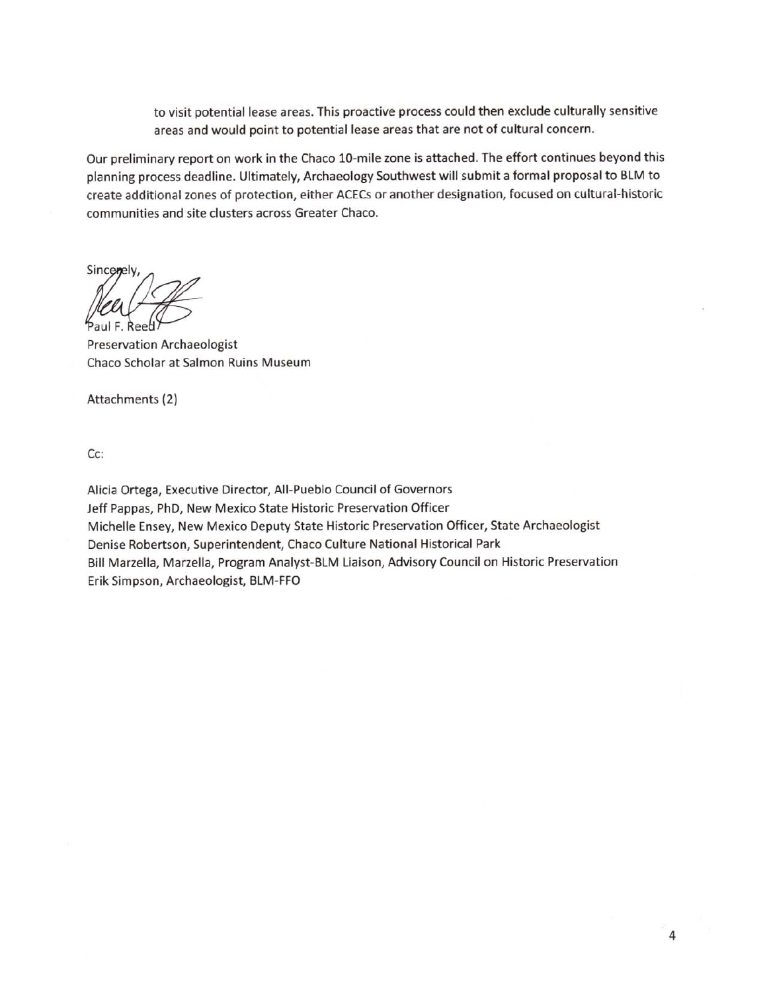to visit potential lease areas. This proactive process could then exclude culturally sensitive areas and would point to potential lease areas that are not of cultural concern.

Our preliminary report on work in the Chaco 10-mile zone is attached. The effort continues beyond this planning process deadline. Ultimately, Archaeology Southwest will submit a formal proposal to BLM to create additional zones of protection, either ACECs or another designation, focused on cultural-historic communities and site clusters across Greater Chaco.

Sincenely F. Reed

**Preservation Archaeologist** Chaco Scholar at Salmon Ruins Museum

Attachments (2)

Cc:

Alicia Ortega, Executive Director, All-Pueblo Council of Governors Jeff Pappas, PhD, New Mexico State Historic Preservation Officer Michelle Ensey, New Mexico Deputy State Historic Preservation Officer, State Archaeologist Denise Robertson, Superintendent, Chaco Culture National Historical Park Bill Marzella, Marzella, Program Analyst-BLM Liaison, Advisory Council on Historic Preservation Erik Simpson, Archaeologist, BLM-FFO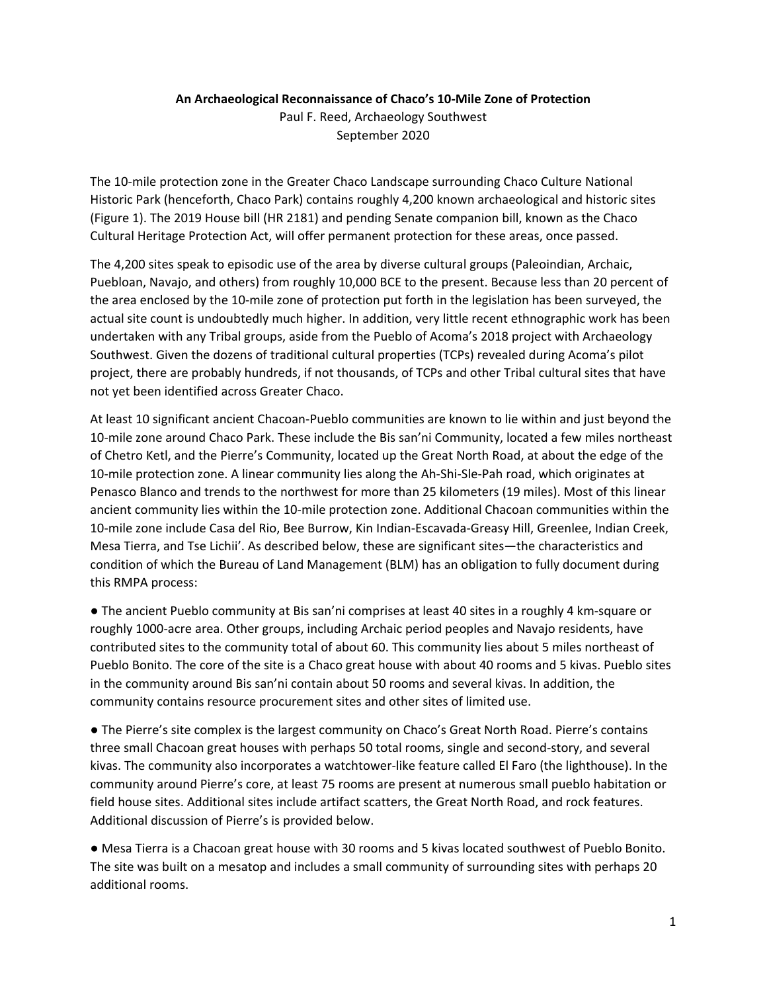## **An Archaeological Reconnaissance of Chaco's 10-Mile Zone of Protection**

Paul F. Reed, Archaeology Southwest September 2020

The 10-mile protection zone in the Greater Chaco Landscape surrounding Chaco Culture National Historic Park (henceforth, Chaco Park) contains roughly 4,200 known archaeological and historic sites (Figure 1). The 2019 House bill (HR 2181) and pending Senate companion bill, known as the Chaco Cultural Heritage Protection Act, will offer permanent protection for these areas, once passed.

The 4,200 sites speak to episodic use of the area by diverse cultural groups (Paleoindian, Archaic, Puebloan, Navajo, and others) from roughly 10,000 BCE to the present. Because less than 20 percent of the area enclosed by the 10-mile zone of protection put forth in the legislation has been surveyed, the actual site count is undoubtedly much higher. In addition, very little recent ethnographic work has been undertaken with any Tribal groups, aside from the Pueblo of Acoma's 2018 project with Archaeology Southwest. Given the dozens of traditional cultural properties (TCPs) revealed during Acoma's pilot project, there are probably hundreds, if not thousands, of TCPs and other Tribal cultural sites that have not yet been identified across Greater Chaco.

At least 10 significant ancient Chacoan-Pueblo communities are known to lie within and just beyond the 10-mile zone around Chaco Park. These include the Bis san'ni Community, located a few miles northeast of Chetro Ketl, and the Pierre's Community, located up the Great North Road, at about the edge of the 10-mile protection zone. A linear community lies along the Ah-Shi-Sle-Pah road, which originates at Penasco Blanco and trends to the northwest for more than 25 kilometers (19 miles). Most of this linear ancient community lies within the 10-mile protection zone. Additional Chacoan communities within the 10-mile zone include Casa del Rio, Bee Burrow, Kin Indian-Escavada-Greasy Hill, Greenlee, Indian Creek, Mesa Tierra, and Tse Lichii'. As described below, these are significant sites—the characteristics and condition of which the Bureau of Land Management (BLM) has an obligation to fully document during this RMPA process:

● The ancient Pueblo community at Bis san'ni comprises at least 40 sites in a roughly 4 km-square or roughly 1000-acre area. Other groups, including Archaic period peoples and Navajo residents, have contributed sites to the community total of about 60. This community lies about 5 miles northeast of Pueblo Bonito. The core of the site is a Chaco great house with about 40 rooms and 5 kivas. Pueblo sites in the community around Bis san'ni contain about 50 rooms and several kivas. In addition, the community contains resource procurement sites and other sites of limited use.

● The Pierre's site complex is the largest community on Chaco's Great North Road. Pierre's contains three small Chacoan great houses with perhaps 50 total rooms, single and second-story, and several kivas. The community also incorporates a watchtower-like feature called El Faro (the lighthouse). In the community around Pierre's core, at least 75 rooms are present at numerous small pueblo habitation or field house sites. Additional sites include artifact scatters, the Great North Road, and rock features. Additional discussion of Pierre's is provided below.

● Mesa Tierra is a Chacoan great house with 30 rooms and 5 kivas located southwest of Pueblo Bonito. The site was built on a mesatop and includes a small community of surrounding sites with perhaps 20 additional rooms.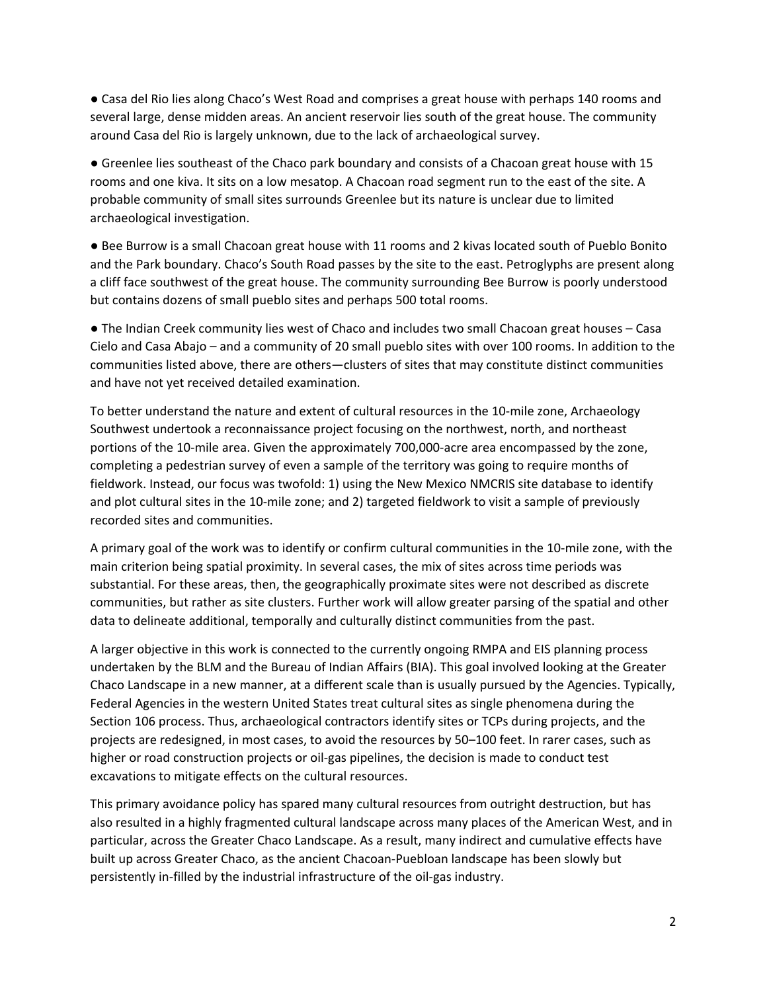● Casa del Rio lies along Chaco's West Road and comprises a great house with perhaps 140 rooms and several large, dense midden areas. An ancient reservoir lies south of the great house. The community around Casa del Rio is largely unknown, due to the lack of archaeological survey.

● Greenlee lies southeast of the Chaco park boundary and consists of a Chacoan great house with 15 rooms and one kiva. It sits on a low mesatop. A Chacoan road segment run to the east of the site. A probable community of small sites surrounds Greenlee but its nature is unclear due to limited archaeological investigation.

● Bee Burrow is a small Chacoan great house with 11 rooms and 2 kivas located south of Pueblo Bonito and the Park boundary. Chaco's South Road passes by the site to the east. Petroglyphs are present along a cliff face southwest of the great house. The community surrounding Bee Burrow is poorly understood but contains dozens of small pueblo sites and perhaps 500 total rooms.

● The Indian Creek community lies west of Chaco and includes two small Chacoan great houses – Casa Cielo and Casa Abajo – and a community of 20 small pueblo sites with over 100 rooms. In addition to the communities listed above, there are others—clusters of sites that may constitute distinct communities and have not yet received detailed examination.

To better understand the nature and extent of cultural resources in the 10-mile zone, Archaeology Southwest undertook a reconnaissance project focusing on the northwest, north, and northeast portions of the 10-mile area. Given the approximately 700,000-acre area encompassed by the zone, completing a pedestrian survey of even a sample of the territory was going to require months of fieldwork. Instead, our focus was twofold: 1) using the New Mexico NMCRIS site database to identify and plot cultural sites in the 10-mile zone; and 2) targeted fieldwork to visit a sample of previously recorded sites and communities.

A primary goal of the work was to identify or confirm cultural communities in the 10-mile zone, with the main criterion being spatial proximity. In several cases, the mix of sites across time periods was substantial. For these areas, then, the geographically proximate sites were not described as discrete communities, but rather as site clusters. Further work will allow greater parsing of the spatial and other data to delineate additional, temporally and culturally distinct communities from the past.

A larger objective in this work is connected to the currently ongoing RMPA and EIS planning process undertaken by the BLM and the Bureau of Indian Affairs (BIA). This goal involved looking at the Greater Chaco Landscape in a new manner, at a different scale than is usually pursued by the Agencies. Typically, Federal Agencies in the western United States treat cultural sites as single phenomena during the Section 106 process. Thus, archaeological contractors identify sites or TCPs during projects, and the projects are redesigned, in most cases, to avoid the resources by 50–100 feet. In rarer cases, such as higher or road construction projects or oil-gas pipelines, the decision is made to conduct test excavations to mitigate effects on the cultural resources.

This primary avoidance policy has spared many cultural resources from outright destruction, but has also resulted in a highly fragmented cultural landscape across many places of the American West, and in particular, across the Greater Chaco Landscape. As a result, many indirect and cumulative effects have built up across Greater Chaco, as the ancient Chacoan-Puebloan landscape has been slowly but persistently in-filled by the industrial infrastructure of the oil-gas industry.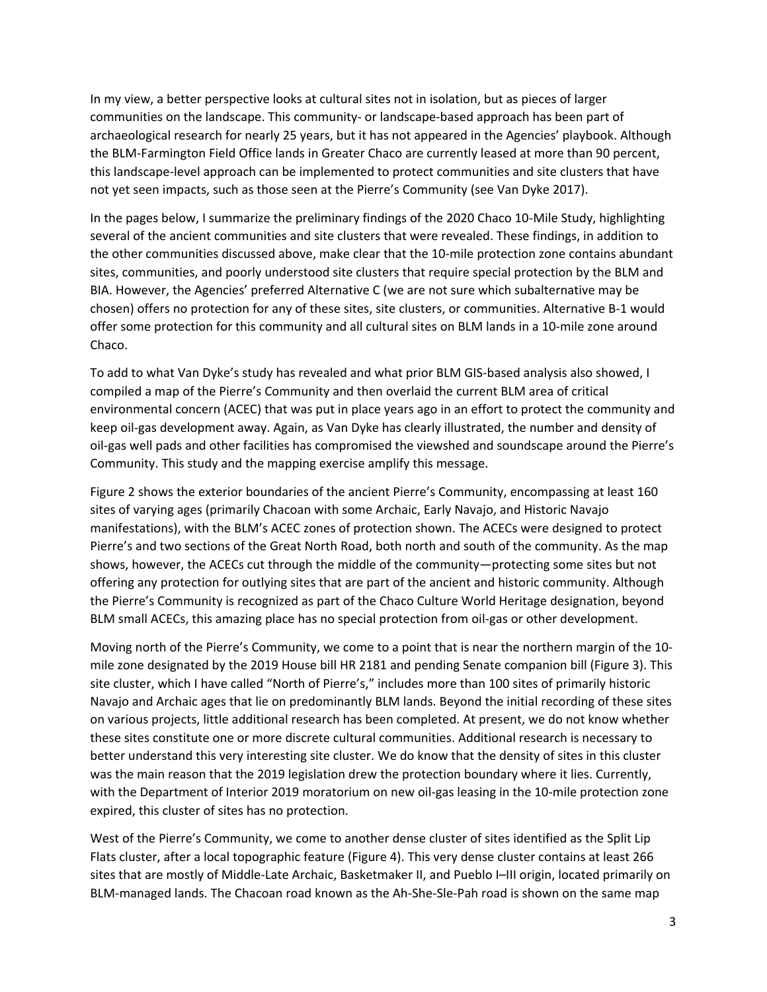In my view, a better perspective looks at cultural sites not in isolation, but as pieces of larger communities on the landscape. This community- or landscape-based approach has been part of archaeological research for nearly 25 years, but it has not appeared in the Agencies' playbook. Although the BLM-Farmington Field Office lands in Greater Chaco are currently leased at more than 90 percent, this landscape-level approach can be implemented to protect communities and site clusters that have not yet seen impacts, such as those seen at the Pierre's Community (see Van Dyke 2017).

In the pages below, I summarize the preliminary findings of the 2020 Chaco 10-Mile Study, highlighting several of the ancient communities and site clusters that were revealed. These findings, in addition to the other communities discussed above, make clear that the 10-mile protection zone contains abundant sites, communities, and poorly understood site clusters that require special protection by the BLM and BIA. However, the Agencies' preferred Alternative C (we are not sure which subalternative may be chosen) offers no protection for any of these sites, site clusters, or communities. Alternative B-1 would offer some protection for this community and all cultural sites on BLM lands in a 10-mile zone around Chaco.

To add to what Van Dyke's study has revealed and what prior BLM GIS-based analysis also showed, I compiled a map of the Pierre's Community and then overlaid the current BLM area of critical environmental concern (ACEC) that was put in place years ago in an effort to protect the community and keep oil-gas development away. Again, as Van Dyke has clearly illustrated, the number and density of oil-gas well pads and other facilities has compromised the viewshed and soundscape around the Pierre's Community. This study and the mapping exercise amplify this message.

Figure 2 shows the exterior boundaries of the ancient Pierre's Community, encompassing at least 160 sites of varying ages (primarily Chacoan with some Archaic, Early Navajo, and Historic Navajo manifestations), with the BLM's ACEC zones of protection shown. The ACECs were designed to protect Pierre's and two sections of the Great North Road, both north and south of the community. As the map shows, however, the ACECs cut through the middle of the community—protecting some sites but not offering any protection for outlying sites that are part of the ancient and historic community. Although the Pierre's Community is recognized as part of the Chaco Culture World Heritage designation, beyond BLM small ACECs, this amazing place has no special protection from oil-gas or other development.

Moving north of the Pierre's Community, we come to a point that is near the northern margin of the 10 mile zone designated by the 2019 House bill HR 2181 and pending Senate companion bill (Figure 3). This site cluster, which I have called "North of Pierre's," includes more than 100 sites of primarily historic Navajo and Archaic ages that lie on predominantly BLM lands. Beyond the initial recording of these sites on various projects, little additional research has been completed. At present, we do not know whether these sites constitute one or more discrete cultural communities. Additional research is necessary to better understand this very interesting site cluster. We do know that the density of sites in this cluster was the main reason that the 2019 legislation drew the protection boundary where it lies. Currently, with the Department of Interior 2019 moratorium on new oil-gas leasing in the 10-mile protection zone expired, this cluster of sites has no protection.

West of the Pierre's Community, we come to another dense cluster of sites identified as the Split Lip Flats cluster, after a local topographic feature (Figure 4). This very dense cluster contains at least 266 sites that are mostly of Middle-Late Archaic, Basketmaker II, and Pueblo I–III origin, located primarily on BLM-managed lands. The Chacoan road known as the Ah-She-Sle-Pah road is shown on the same map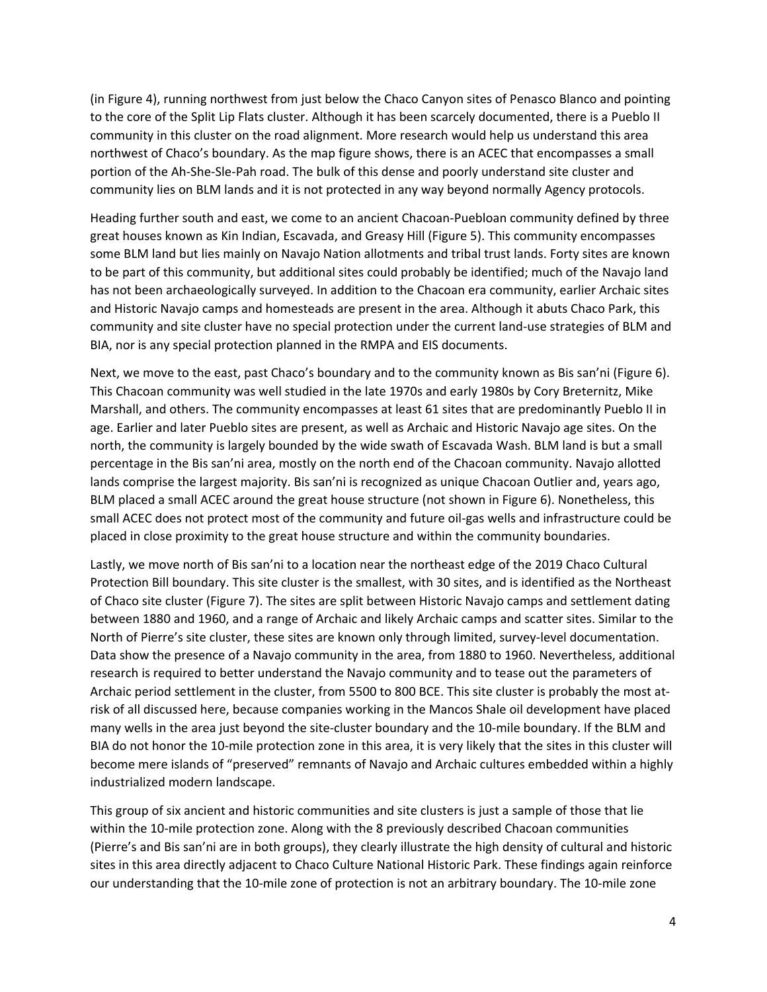(in Figure 4), running northwest from just below the Chaco Canyon sites of Penasco Blanco and pointing to the core of the Split Lip Flats cluster. Although it has been scarcely documented, there is a Pueblo II community in this cluster on the road alignment. More research would help us understand this area northwest of Chaco's boundary. As the map figure shows, there is an ACEC that encompasses a small portion of the Ah-She-Sle-Pah road. The bulk of this dense and poorly understand site cluster and community lies on BLM lands and it is not protected in any way beyond normally Agency protocols.

Heading further south and east, we come to an ancient Chacoan-Puebloan community defined by three great houses known as Kin Indian, Escavada, and Greasy Hill (Figure 5). This community encompasses some BLM land but lies mainly on Navajo Nation allotments and tribal trust lands. Forty sites are known to be part of this community, but additional sites could probably be identified; much of the Navajo land has not been archaeologically surveyed. In addition to the Chacoan era community, earlier Archaic sites and Historic Navajo camps and homesteads are present in the area. Although it abuts Chaco Park, this community and site cluster have no special protection under the current land-use strategies of BLM and BIA, nor is any special protection planned in the RMPA and EIS documents.

Next, we move to the east, past Chaco's boundary and to the community known as Bis san'ni (Figure 6). This Chacoan community was well studied in the late 1970s and early 1980s by Cory Breternitz, Mike Marshall, and others. The community encompasses at least 61 sites that are predominantly Pueblo II in age. Earlier and later Pueblo sites are present, as well as Archaic and Historic Navajo age sites. On the north, the community is largely bounded by the wide swath of Escavada Wash. BLM land is but a small percentage in the Bis san'ni area, mostly on the north end of the Chacoan community. Navajo allotted lands comprise the largest majority. Bis san'ni is recognized as unique Chacoan Outlier and, years ago, BLM placed a small ACEC around the great house structure (not shown in Figure 6). Nonetheless, this small ACEC does not protect most of the community and future oil-gas wells and infrastructure could be placed in close proximity to the great house structure and within the community boundaries.

Lastly, we move north of Bis san'ni to a location near the northeast edge of the 2019 Chaco Cultural Protection Bill boundary. This site cluster is the smallest, with 30 sites, and is identified as the Northeast of Chaco site cluster (Figure 7). The sites are split between Historic Navajo camps and settlement dating between 1880 and 1960, and a range of Archaic and likely Archaic camps and scatter sites. Similar to the North of Pierre's site cluster, these sites are known only through limited, survey-level documentation. Data show the presence of a Navajo community in the area, from 1880 to 1960. Nevertheless, additional research is required to better understand the Navajo community and to tease out the parameters of Archaic period settlement in the cluster, from 5500 to 800 BCE. This site cluster is probably the most atrisk of all discussed here, because companies working in the Mancos Shale oil development have placed many wells in the area just beyond the site-cluster boundary and the 10-mile boundary. If the BLM and BIA do not honor the 10-mile protection zone in this area, it is very likely that the sites in this cluster will become mere islands of "preserved" remnants of Navajo and Archaic cultures embedded within a highly industrialized modern landscape.

This group of six ancient and historic communities and site clusters is just a sample of those that lie within the 10-mile protection zone. Along with the 8 previously described Chacoan communities (Pierre's and Bis san'ni are in both groups), they clearly illustrate the high density of cultural and historic sites in this area directly adjacent to Chaco Culture National Historic Park. These findings again reinforce our understanding that the 10-mile zone of protection is not an arbitrary boundary. The 10-mile zone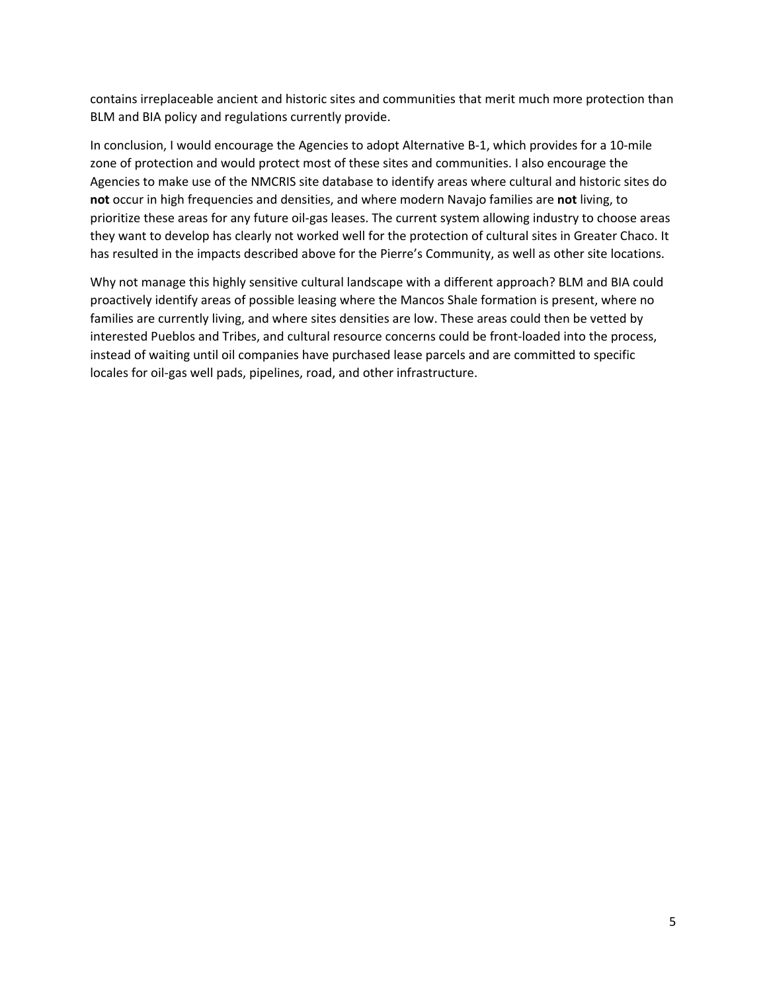contains irreplaceable ancient and historic sites and communities that merit much more protection than BLM and BIA policy and regulations currently provide.

In conclusion, I would encourage the Agencies to adopt Alternative B-1, which provides for a 10-mile zone of protection and would protect most of these sites and communities. I also encourage the Agencies to make use of the NMCRIS site database to identify areas where cultural and historic sites do **not** occur in high frequencies and densities, and where modern Navajo families are **not** living, to prioritize these areas for any future oil-gas leases. The current system allowing industry to choose areas they want to develop has clearly not worked well for the protection of cultural sites in Greater Chaco. It has resulted in the impacts described above for the Pierre's Community, as well as other site locations.

Why not manage this highly sensitive cultural landscape with a different approach? BLM and BIA could proactively identify areas of possible leasing where the Mancos Shale formation is present, where no families are currently living, and where sites densities are low. These areas could then be vetted by interested Pueblos and Tribes, and cultural resource concerns could be front-loaded into the process, instead of waiting until oil companies have purchased lease parcels and are committed to specific locales for oil-gas well pads, pipelines, road, and other infrastructure.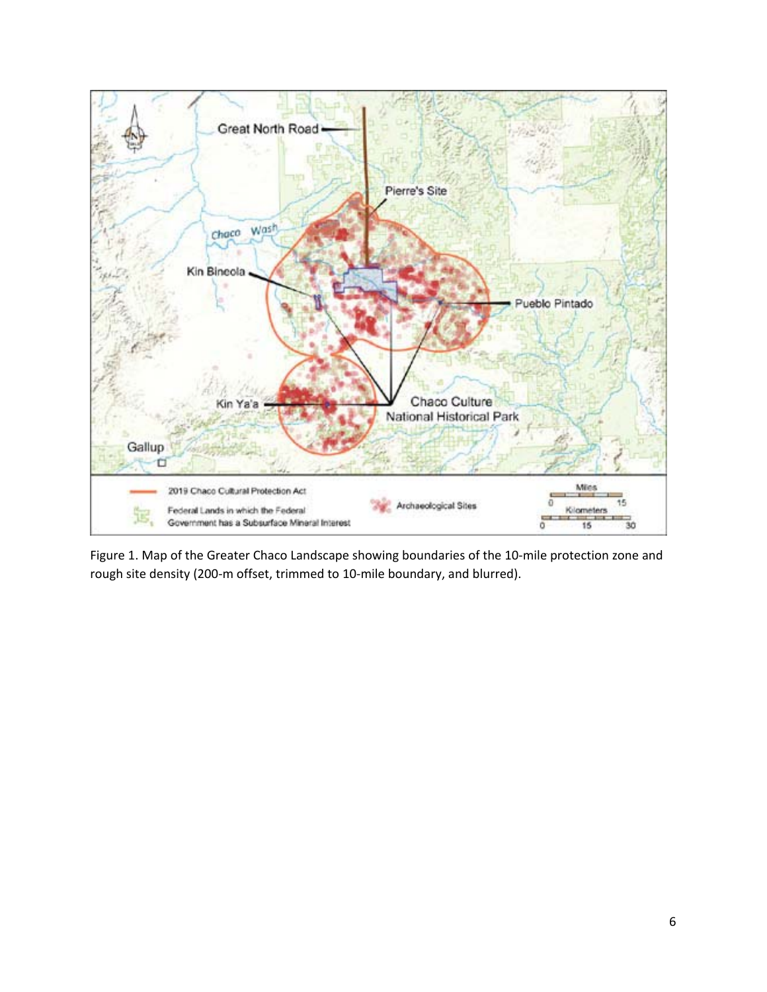

Figure 1. Map of the Greater Chaco Landscape showing boundaries of the 10-mile protection zone and rough site density (200-m offset, trimmed to 10-mile boundary, and blurred).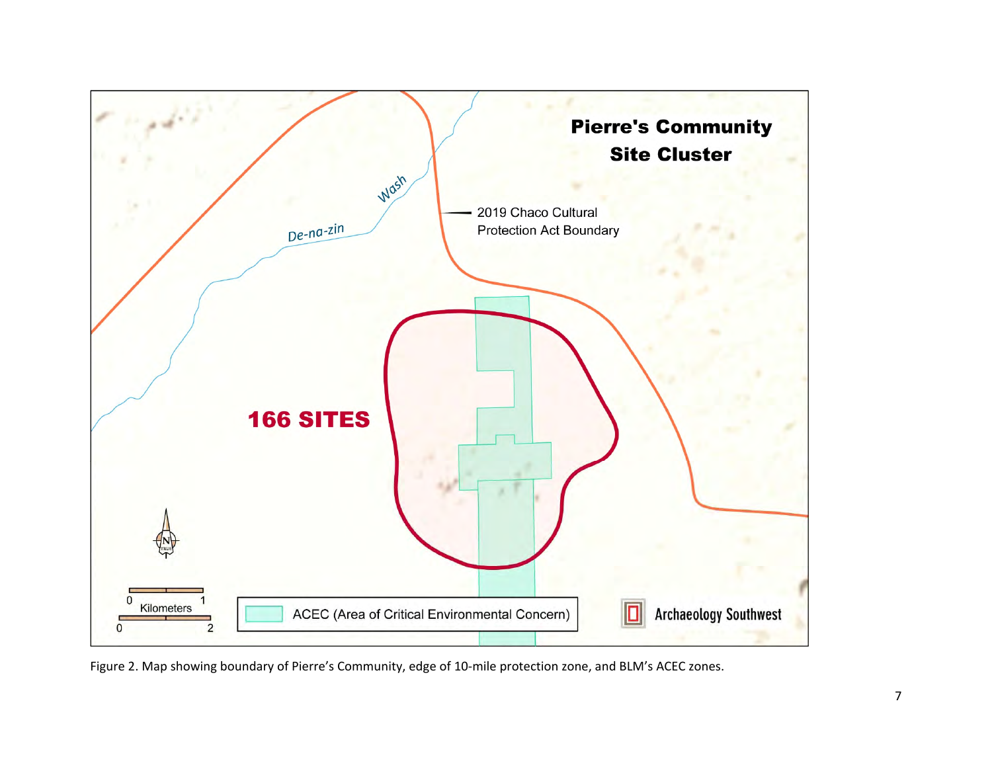

Figure 2. Map showing boundary of Pierre's Community, edge of 10-mile protection zone, and BLM's ACEC zones.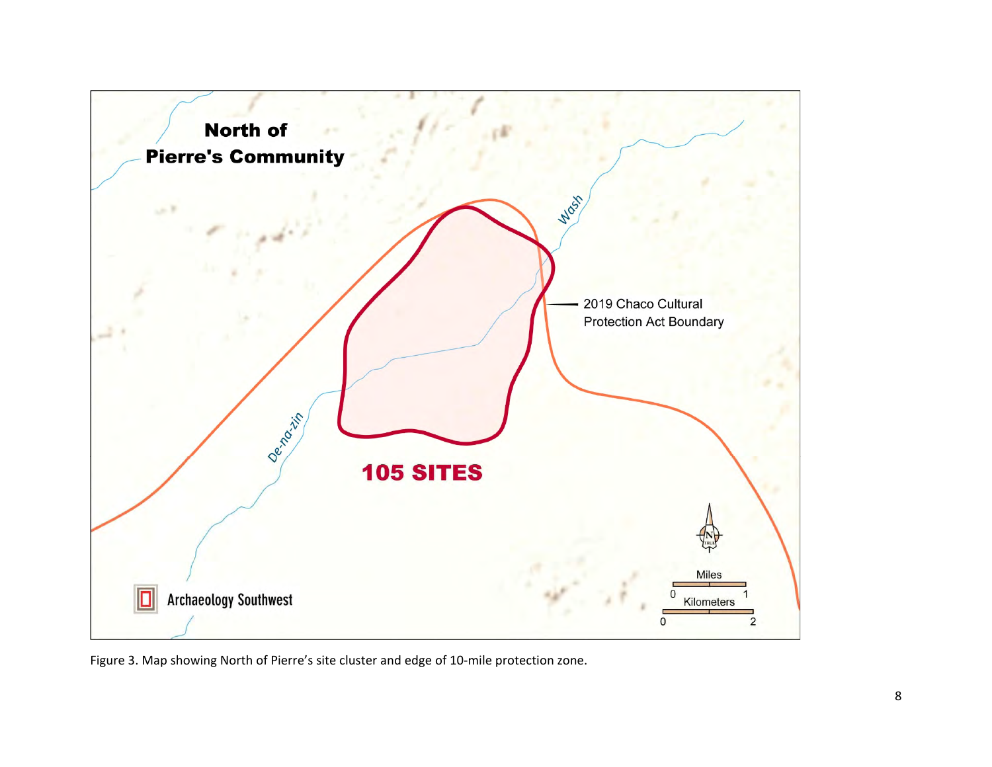

Figure 3. Map showing North of Pierre's site cluster and edge of 10-mile protection zone.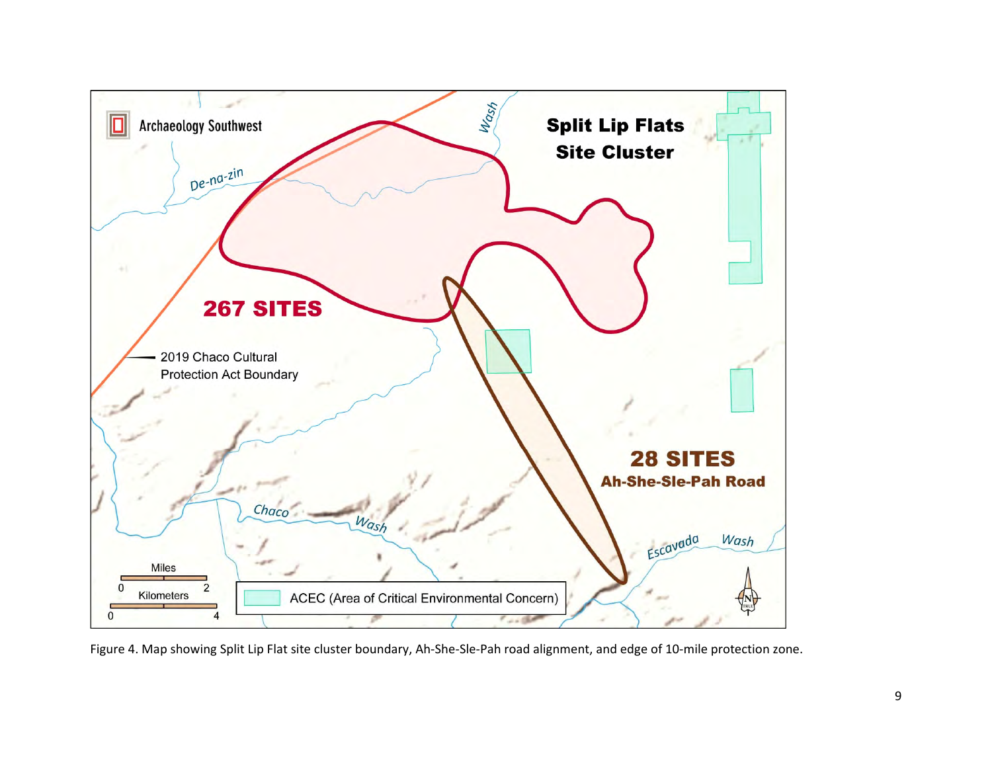

Figure 4. Map showing Split Lip Flat site cluster boundary, Ah-She-Sle-Pah road alignment, and edge of 10-mile protection zone.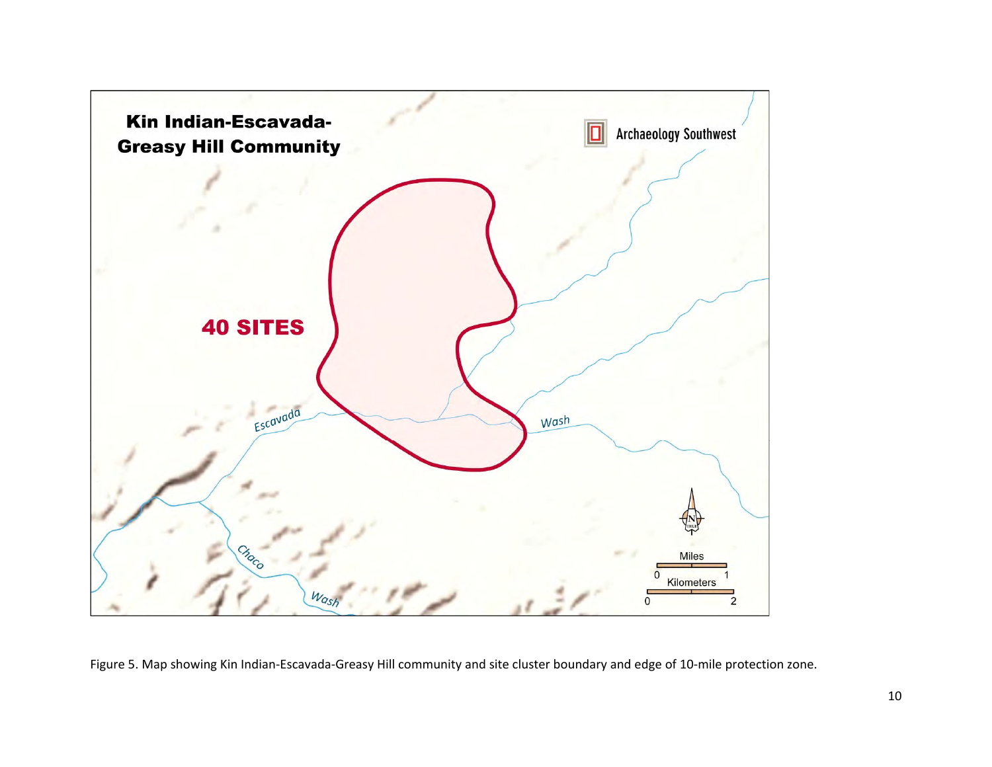

Figure 5. Map showing Kin Indian-Escavada-Greasy Hill community and site cluster boundary and edge of 10-mile protection zone.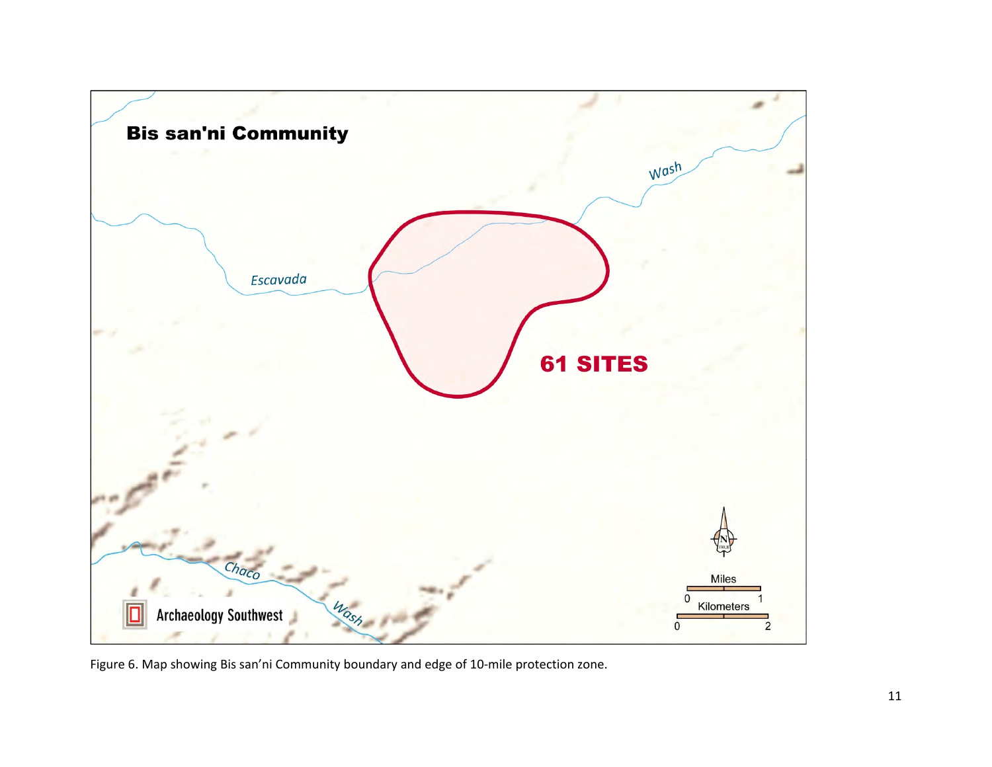

Figure 6. Map showing Bis san'ni Community boundary and edge of 10-mile protection zone.